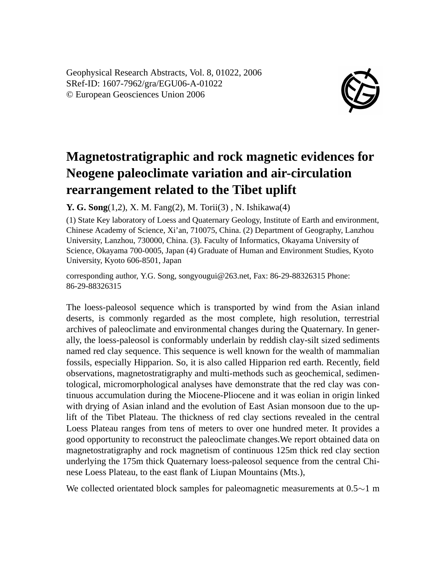Geophysical Research Abstracts, Vol. 8, 01022, 2006 SRef-ID: 1607-7962/gra/EGU06-A-01022 © European Geosciences Union 2006



## **Magnetostratigraphic and rock magnetic evidences for Neogene paleoclimate variation and air-circulation rearrangement related to the Tibet uplift**

**Y. G. Song**(1,2), X. M. Fang(2), M. Torii(3) , N. Ishikawa(4)

(1) State Key laboratory of Loess and Quaternary Geology, Institute of Earth and environment, Chinese Academy of Science, Xi'an, 710075, China. (2) Department of Geography, Lanzhou University, Lanzhou, 730000, China. (3). Faculty of Informatics, Okayama University of Science, Okayama 700-0005, Japan (4) Graduate of Human and Environment Studies, Kyoto University, Kyoto 606-8501, Japan

corresponding author, Y.G. Song, songyougui@263.net, Fax: 86-29-88326315 Phone: 86-29-88326315

The loess-paleosol sequence which is transported by wind from the Asian inland deserts, is commonly regarded as the most complete, high resolution, terrestrial archives of paleoclimate and environmental changes during the Quaternary. In generally, the loess-paleosol is conformably underlain by reddish clay-silt sized sediments named red clay sequence. This sequence is well known for the wealth of mammalian fossils, especially Hipparion. So, it is also called Hipparion red earth. Recently, field observations, magnetostratigraphy and multi-methods such as geochemical, sedimentological, micromorphological analyses have demonstrate that the red clay was continuous accumulation during the Miocene-Pliocene and it was eolian in origin linked with drying of Asian inland and the evolution of East Asian monsoon due to the uplift of the Tibet Plateau. The thickness of red clay sections revealed in the central Loess Plateau ranges from tens of meters to over one hundred meter. It provides a good opportunity to reconstruct the paleoclimate changes.We report obtained data on magnetostratigraphy and rock magnetism of continuous 125m thick red clay section underlying the 175m thick Quaternary loess-paleosol sequence from the central Chinese Loess Plateau, to the east flank of Liupan Mountains (Mts.),

We collected orientated block samples for paleomagnetic measurements at 0.5∼1 m